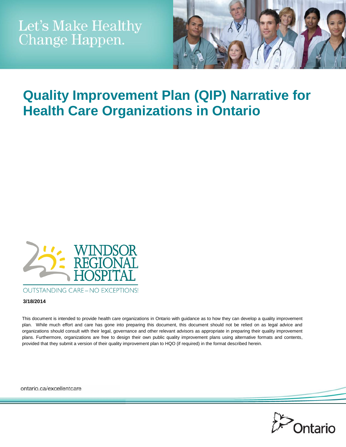

# **Quality Improvement Plan (QIP) Narrative for Health Care Organizations in Ontario**



#### **3/18/2014**

This document is intended to provide health care organizations in Ontario with guidance as to how they can develop a quality improvement plan. While much effort and care has gone into preparing this document, this document should not be relied on as legal advice and organizations should consult with their legal, governance and other relevant advisors as appropriate in preparing their quality improvement plans. Furthermore, organizations are free to design their own public quality improvement plans using alternative formats and contents, provided that they submit a version of their quality improvement plan to HQO (if required) in the format described herein.

ontario.ca/excellentcare

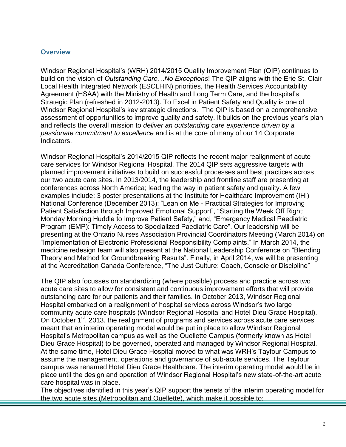#### **Overview**

Windsor Regional Hospital's (WRH) 2014/2015 Quality Improvement Plan (QIP) continues to build on the vision of *Outstanding Care…No Exceptions*! The QIP aligns with the Erie St. Clair Local Health Integrated Network (ESCLHIN) priorities, the Health Services Accountability Agreement (HSAA) with the Ministry of Health and Long Term Care, and the hospital's Strategic Plan (refreshed in 2012-2013). To Excel in Patient Safety and Quality is one of Windsor Regional Hospital's key strategic directions. The QIP is based on a comprehensive assessment of opportunities to improve quality and safety. It builds on the previous year's plan and reflects the overall mission to *deliver an outstanding care experience driven by a passionate commitment to excellence* and is at the core of many of our 14 Corporate Indicators.

Windsor Regional Hospital's 2014/2015 QIP reflects the recent major realignment of acute care services for Windsor Regional Hospital. The 2014 QIP sets aggressive targets with planned improvement initiatives to build on successful processes and best practices across our two acute care sites. In 2013/2014, the leadership and frontline staff are presenting at conferences across North America; leading the way in patient safety and quality. A few examples include: 3 poster presentations at the Institute for Healthcare Improvement (IHI) National Conference (December 2013): "Lean on Me - Practical Strategies for Improving Patient Satisfaction through Improved Emotional Support", "Starting the Week Off Right: Monday Morning Huddle to Improve Patient Safety," and, "Emergency Medical Paediatric Program (EMP): Timely Access to Specialized Paediatric Care". Our leadership will be presenting at the Ontario Nurses Association Provincial Coordinators Meeting (March 2014) on "Implementation of Electronic Professional Responsibility Complaints." In March 2014, the medicine redesign team will also present at the National Leadership Conference on "Blending Theory and Method for Groundbreaking Results". Finally, in April 2014, we will be presenting at the Accreditation Canada Conference, "The Just Culture: Coach, Console or Discipline"

The QIP also focusses on standardizing (where possible) process and practice across two acute care sites to allow for consistent and continuous improvement efforts that will provide outstanding care for our patients and their families. In October 2013, Windsor Regional Hospital embarked on a realignment of hospital services across Windsor's two large community acute care hospitals (Windsor Regional Hospital and Hotel Dieu Grace Hospital). On October 1<sup>st</sup>, 2013, the realignment of programs and services across acute care services meant that an interim operating model would be put in place to allow Windsor Regional Hospital's Metropolitan campus as well as the Ouellette Campus (formerly known as Hotel Dieu Grace Hospital) to be governed, operated and managed by Windsor Regional Hospital. At the same time, Hotel Dieu Grace Hospital moved to what was WRH's Tayfour Campus to assume the management, operations and governance of sub-acute services. The Tayfour campus was renamed Hotel Dieu Grace Healthcare. The interim operating model would be in place until the design and operation of Windsor Regional Hospital's new state-of-the-art acute care hospital was in place.

The objectives identified in this year's QIP support the tenets of the interim operating model for the two acute sites (Metropolitan and Ouellette), which make it possible to: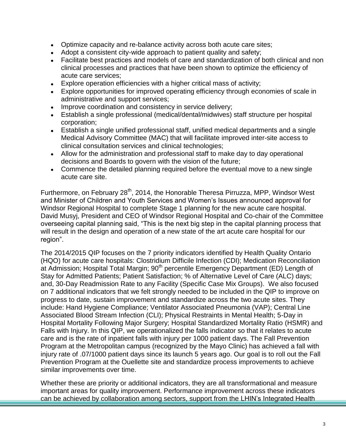- Optimize capacity and re-balance activity across both acute care sites;
- Adopt a consistent city-wide approach to patient quality and safety;
- Facilitate best practices and models of care and standardization of both clinical and non clinical processes and practices that have been shown to optimize the efficiency of acute care services;
- Explore operation efficiencies with a higher critical mass of activity;
- Explore opportunities for improved operating efficiency through economies of scale in administrative and support services;
- Improve coordination and consistency in service delivery:
- Establish a single professional (medical/dental/midwives) staff structure per hospital corporation;
- Establish a single unified professional staff, unified medical departments and a single Medical Advisory Committee (MAC) that will facilitate improved inter-site access to clinical consultation services and clinical technologies;
- Allow for the administration and professional staff to make day to day operational decisions and Boards to govern with the vision of the future;
- Commence the detailed planning required before the eventual move to a new single acute care site.

Furthermore, on February 28<sup>th</sup>, 2014, the Honorable Theresa Pirruzza, MPP, Windsor West and Minister of Children and Youth Services and Women's Issues announced approval for Windsor Regional Hospital to complete Stage 1 planning for the new acute care hospital. David Musyj, President and CEO of Windsor Regional Hospital and Co-chair of the Committee overseeing capital planning said, "This is the next big step in the capital planning process that will result in the design and operation of a new state of the art acute care hospital for our region".

The 2014/2015 QIP focuses on the 7 priority indicators identified by Health Quality Ontario (HQO) for acute care hospitals: Clostridium Difficile Infection (CDI); Medication Reconciliation at Admission; Hospital Total Margin; 90<sup>th</sup> percentile Emergency Department (ED) Length of Stay for Admitted Patients; Patient Satisfaction; % of Alternative Level of Care (ALC) days; and, 30-Day Readmission Rate to any Facility (Specific Case Mix Groups). We also focused on 7 additional indicators that we felt strongly needed to be included in the QIP to improve on progress to date, sustain improvement and standardize across the two acute sites. They include: Hand Hygiene Compliance; Ventilator Associated Pneumonia (VAP); Central Line Associated Blood Stream Infection (CLI); Physical Restraints in Mental Health; 5-Day in Hospital Mortality Following Major Surgery; Hospital Standardized Mortality Ratio (HSMR) and Falls with Injury. In this QIP, we operationalized the falls indicator so that it relates to acute care and is the rate of inpatient falls with injury per 1000 patient days. The Fall Prevention Program at the Metropolitan campus (recognized by the Mayo Clinic) has achieved a fall with injury rate of .07/1000 patient days since its launch 5 years ago. Our goal is to roll out the Fall Prevention Program at the Ouellette site and standardize process improvements to achieve similar improvements over time.

Whether these are priority or additional indicators, they are all transformational and measure important areas for quality improvement. Performance improvement across these indicators can be achieved by collaboration among sectors, support from the LHIN's Integrated Health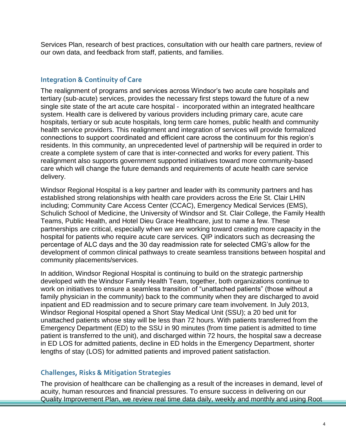Services Plan, research of best practices, consultation with our health care partners, review of our own data, and feedback from staff, patients, and families.

#### **Integration & Continuity of Care**

The realignment of programs and services across Windsor's two acute care hospitals and tertiary (sub-acute) services, provides the necessary first steps toward the future of a new single site state of the art acute care hospital - incorporated within an integrated healthcare system. Health care is delivered by various providers including primary care, acute care hospitals, tertiary or sub acute hospitals, long term care homes, public health and community health service providers. This realignment and integration of services will provide formalized connections to support coordinated and efficient care across the continuum for this region's residents. In this community, an unprecedented level of partnership will be required in order to create a complete system of care that is inter-connected and works for every patient. This realignment also supports government supported initiatives toward more community-based care which will change the future demands and requirements of acute health care service delivery.

Windsor Regional Hospital is a key partner and leader with its community partners and has established strong relationships with health care providers across the Erie St. Clair LHIN including; Community Care Access Center (CCAC), Emergency Medical Services (EMS), Schulich School of Medicine, the University of Windsor and St. Clair College, the Family Health Teams, Public Health, and Hotel Dieu Grace Healthcare, just to name a few. These partnerships are critical, especially when we are working toward creating more capacity in the hospital for patients who require acute care services. QIP indicators such as decreasing the percentage of ALC days and the 30 day readmission rate for selected CMG's allow for the development of common clinical pathways to create seamless transitions between hospital and community placements/services.

In addition, Windsor Regional Hospital is continuing to build on the strategic partnership developed with the Windsor Family Health Team, together, both organizations continue to work on initiatives to ensure a seamless transition of "unattached patients" (those without a family physician in the community) back to the community when they are discharged to avoid inpatient and ED readmission and to secure primary care team involvement. In July 2013, Windsor Regional Hospital opened a Short Stay Medical Unit (SSU); a 20 bed unit for unattached patients whose stay will be less than 72 hours. With patients transferred from the Emergency Department (ED) to the SSU in 90 minutes (from time patient is admitted to time patient is transferred to the unit), and discharged within 72 hours, the hospital saw a decrease in ED LOS for admitted patients, decline in ED holds in the Emergency Department, shorter lengths of stay (LOS) for admitted patients and improved patient satisfaction.

#### **Challenges, Risks & Mitigation Strategies**

The provision of healthcare can be challenging as a result of the increases in demand, level of acuity, human resources and financial pressures. To ensure success in delivering on our Quality Improvement Plan, we review real time data daily, weekly and monthly and using Root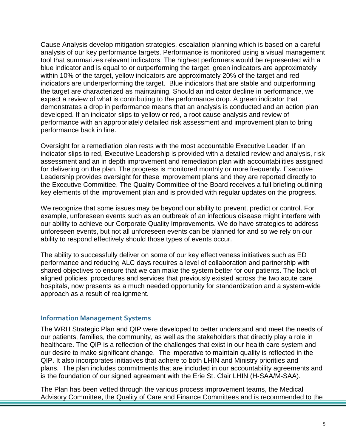Cause Analysis develop mitigation strategies, escalation planning which is based on a careful analysis of our key performance targets. Performance is monitored using a visual management tool that summarizes relevant indicators. The highest performers would be represented with a blue indicator and is equal to or outperforming the target, green indicators are approximately within 10% of the target, yellow indicators are approximately 20% of the target and red indicators are underperforming the target. Blue indicators that are stable and outperforming the target are characterized as maintaining. Should an indicator decline in performance, we expect a review of what is contributing to the performance drop. A green indicator that demonstrates a drop in performance means that an analysis is conducted and an action plan developed. If an indicator slips to yellow or red, a root cause analysis and review of performance with an appropriately detailed risk assessment and improvement plan to bring performance back in line.

Oversight for a remediation plan rests with the most accountable Executive Leader. If an indicator slips to red, Executive Leadership is provided with a detailed review and analysis, risk assessment and an in depth improvement and remediation plan with accountabilities assigned for delivering on the plan. The progress is monitored monthly or more frequently. Executive Leadership provides oversight for these improvement plans and they are reported directly to the Executive Committee. The Quality Committee of the Board receives a full briefing outlining key elements of the improvement plan and is provided with regular updates on the progress.

We recognize that some issues may be beyond our ability to prevent, predict or control. For example, unforeseen events such as an outbreak of an infectious disease might interfere with our ability to achieve our Corporate Quality Improvements. We do have strategies to address unforeseen events, but not all unforeseen events can be planned for and so we rely on our ability to respond effectively should those types of events occur.

The ability to successfully deliver on some of our key effectiveness initiatives such as ED performance and reducing ALC days requires a level of collaboration and partnership with shared objectives to ensure that we can make the system better for our patients. The lack of aligned policies, procedures and services that previously existed across the two acute care hospitals, now presents as a much needed opportunity for standardization and a system-wide approach as a result of realignment.

### **Information Management Systems**

The WRH Strategic Plan and QIP were developed to better understand and meet the needs of our patients, families, the community, as well as the stakeholders that directly play a role in healthcare. The QIP is a reflection of the challenges that exist in our health care system and our desire to make significant change. The imperative to maintain quality is reflected in the QIP. It also incorporates initiatives that adhere to both LHIN and Ministry priorities and plans. The plan includes commitments that are included in our accountability agreements and is the foundation of our signed agreement with the Erie St. Clair LHIN (H-SAA/M-SAA).

The Plan has been vetted through the various process improvement teams, the Medical Advisory Committee, the Quality of Care and Finance Committees and is recommended to the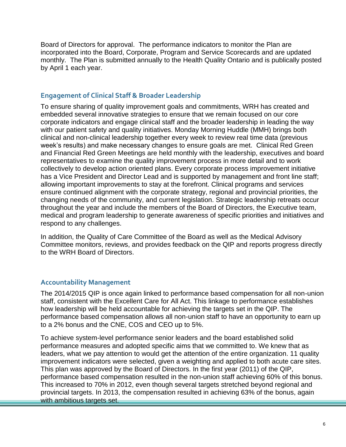Board of Directors for approval. The performance indicators to monitor the Plan are incorporated into the Board, Corporate, Program and Service Scorecards and are updated monthly. The Plan is submitted annually to the Health Quality Ontario and is publically posted by April 1 each year.

### **Engagement of Clinical Staff & Broader Leadership**

To ensure sharing of quality improvement goals and commitments, WRH has created and embedded several innovative strategies to ensure that we remain focused on our core corporate indicators and engage clinical staff and the broader leadership in leading the way with our patient safety and quality initiatives. Monday Morning Huddle (MMH) brings both clinical and non-clinical leadership together every week to review real time data (previous week's results) and make necessary changes to ensure goals are met. Clinical Red Green and Financial Red Green Meetings are held monthly with the leadership, executives and board representatives to examine the quality improvement process in more detail and to work collectively to develop action oriented plans. Every corporate process improvement initiative has a Vice President and Director Lead and is supported by management and front line staff; allowing important improvements to stay at the forefront. Clinical programs and services ensure continued alignment with the corporate strategy, regional and provincial priorities, the changing needs of the community, and current legislation. Strategic leadership retreats occur throughout the year and include the members of the Board of Directors, the Executive team, medical and program leadership to generate awareness of specific priorities and initiatives and respond to any challenges.

In addition, the Quality of Care Committee of the Board as well as the Medical Advisory Committee monitors, reviews, and provides feedback on the QIP and reports progress directly to the WRH Board of Directors.

## **Accountability Management**

The 2014/2015 QIP is once again linked to performance based compensation for all non-union staff, consistent with the Excellent Care for All Act. This linkage to performance establishes how leadership will be held accountable for achieving the targets set in the QIP. The performance based compensation allows all non-union staff to have an opportunity to earn up to a 2% bonus and the CNE, COS and CEO up to 5%.

To achieve system-level performance senior leaders and the board established solid performance measures and adopted specific aims that we committed to. We knew that as leaders, what we pay attention to would get the attention of the entire organization. 11 quality improvement indicators were selected, given a weighting and applied to both acute care sites. This plan was approved by the Board of Directors. In the first year (2011) of the QIP, performance based compensation resulted in the non-union staff achieving 60% of this bonus. This increased to 70% in 2012, even though several targets stretched beyond regional and provincial targets. In 2013, the compensation resulted in achieving 63% of the bonus, again with ambitious targets set.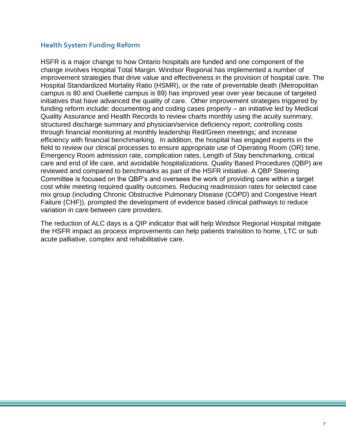### **Health System Funding Reform**

HSFR is a major change to how Ontario hospitals are funded and one component of the change involves Hospital Total Margin. Windsor Regional has implemented a number of improvement strategies that drive value and effectiveness in the provision of hospital care. The Hospital Standardized Mortality Ratio (HSMR), or the rate of preventable death (Metropolitan campus is 80 and Ouellette campus is 89) has improved year over year because of targeted initiatives that have advanced the quality of care. Other improvement strategies triggered by funding reform include: documenting and coding cases properly – an initiative led by Medical Quality Assurance and Health Records to review charts monthly using the acuity summary, structured discharge summary and physician/service deficiency report; controlling costs through financial monitoring at monthly leadership Red/Green meetings; and increase efficiency with financial benchmarking. In addition, the hospital has engaged experts in the field to review our clinical processes to ensure appropriate use of Operating Room (OR) time, Emergency Room admission rate, complication rates, Length of Stay benchmarking, critical care and end of life care, and avoidable hospitalizations. Quality Based Procedures (QBP) are reviewed and compared to benchmarks as part of the HSFR initiative. A QBP Steering Committee is focused on the QBP's and oversees the work of providing care within a target cost while meeting required quality outcomes. Reducing readmission rates for selected case mix group (including Chronic Obstructive Pulmonary Disease (COPD) and Congestive Heart Failure (CHF)), prompted the development of evidence based clinical pathways to reduce variation in care between care providers.

The reduction of ALC days is a QIP indicator that will help Windsor Regional Hospital mitigate the HSFR impact as process improvements can help patients transition to home, LTC or sub acute palliative, complex and rehabilitative care.